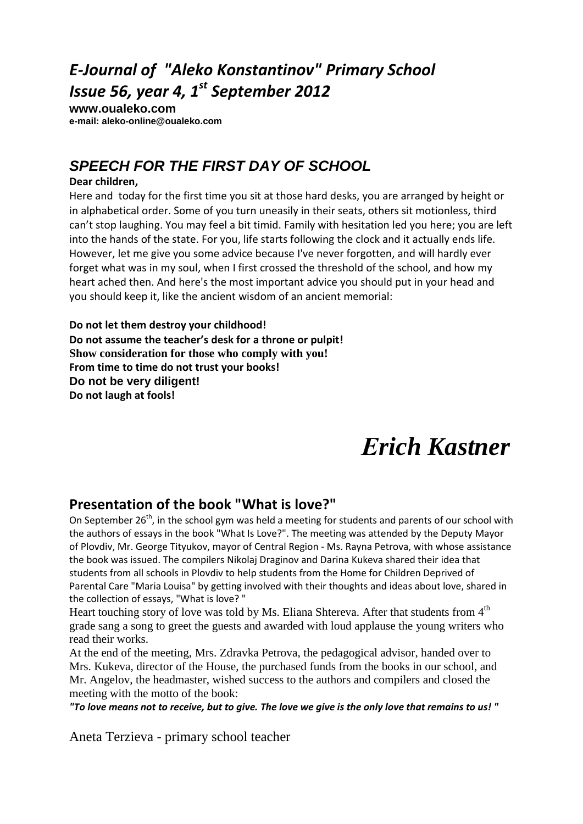## *E-Journal of "Aleko Konstantinov" Primary School Issue 56, year 4, 1 st September 2012*

**www.oualeko.com е-mail: aleko-online@oualeko.com**

## **SPEECH FOR THE FIRST DAY OF SCHOOL**

### **Dear children,**

Here and today for the first time you sit at those hard desks, you are arranged by height or in alphabetical order. Some of you turn uneasily in their seats, others sit motionless, third can't stop laughing. You may feel a bit timid. Family with hesitation led you here; you are left into the hands of the state. For you, life starts following the clock and it actually ends life. However, let me give you some advice because I've never forgotten, and will hardly ever forget what was in my soul, when I first crossed the threshold of the school, and how my heart ached then. And here's the most important advice you should put in your head and you should keep it, like the ancient wisdom of an ancient memorial:

**Do not let them destroy your childhood! Do not assume the teacher's desk for a throne or pulpit! Show consideration for those who comply with you! From time to time do not trust your books!3 Do not be very diligent! Do not laugh at fools!**

# *Еrich Kastner*

### **Presentation of the book "What is love?"**

On September 26<sup>th</sup>, in the school gym was held a meeting for students and parents of our school with the authors of essays in the book "What Is Love?". The meeting was attended by the Deputy Mayor of Plovdiv, Mr. George Tityukov, mayor of Central Region - Ms. Rayna Petrova, with whose assistance the book was issued. The compilers Nikolaj Draginov and Darina Kukeva shared their idea that students from all schools in Plovdiv to help students from the Home for Children Deprived of Parental Care "Maria Louisa" by getting involved with their thoughts and ideas about love, shared in the collection of essays, "What is love? "

Heart touching story of love was told by Ms. Eliana Shtereva. After that students from  $4<sup>th</sup>$ grade sang a song to greet the guests and awarded with loud applause the young writers who read their works.

At the end of the meeting, Mrs. Zdravka Petrova, the pedagogical advisor, handed over to Mrs. Kukeva, director of the House, the purchased funds from the books in our school, and Mr. Angelov, the headmaster, wished success to the authors and compilers and closed the meeting with the motto of the book:

*"To love means not to receive, but to give. The love we give is the only love that remains to us! "*

Aneta Terzieva - primary school teacher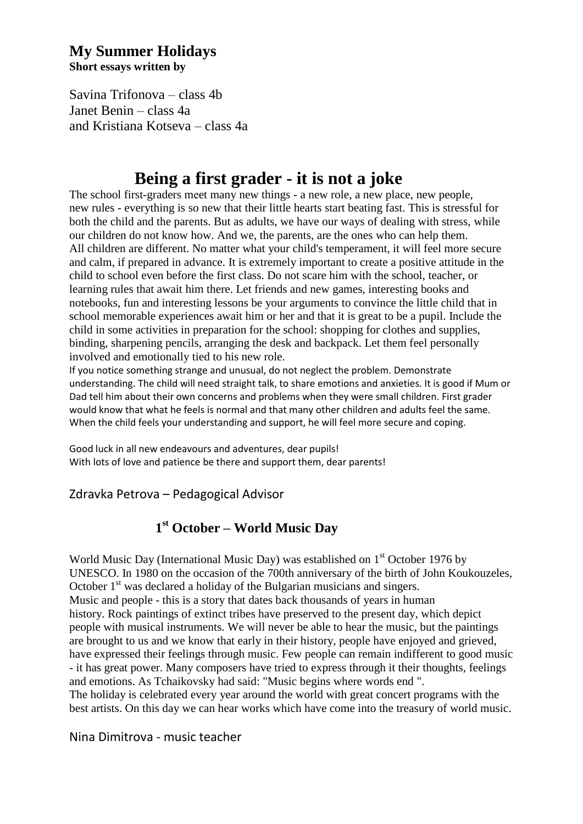### **My Summer Holidays Short essays written by**

Savina Trifonova – class 4b Janet Benin – class 4a and Kristiana Kotseva – class 4a

## **Венная first grader - it is not a joke**

The school first-graders mеet many new things - a new role, a new place, new people, new rules - everything is so new that their little hearts start beating fast. This is stressful for both the child and the parents. But as adults, we have our ways of dealing with stress, while our children do not know how. And we, the parents, are the ones who can help them. All children are different. No matter what your child's temperament, it will feel more secure and calm, if prepared in advance. It is extremely important to create a positive attitude in the child to school even before the first class. Do not scare him with the school, teacher, or learning rules that await him there. Let friends and new games, interesting books and notebooks, fun and interesting lessons be your arguments to convince the little child that in school memorable experiences await him or her and that it is great to be a pupil. Include the child in some activities in preparation for the school: shopping for clothes and supplies, binding, sharpening pencils, arranging the desk and backpack. Let them feel personally involved and emotionally tied to his new role.

If you notice something strange and unusual, do not neglect the problem. Demonstrate understanding. The child will need straight talk, to share emotions and anxieties. It is good if Mum or Dad tell him about their own concerns and problems when they were small children. First grader would know that what he feels is normal and that many other children and adults feel the same. When the child feels your understanding and support, he will feel more secure and coping.

Good luck in all new endeavours and adventures, dear pupils! With lots of love and patience be there and support them, dear parents!

Zdravka Petrova – Pedagogical Advisor

#### *БИБЛИОТ***121 st October – World Music Day**

World Music Day (International Music Day) was established on 1<sup>st</sup> October 1976 by UNESCO. In 1980 on the occasion of the 700th anniversary of the birth of John Koukouzeles, October  $1<sup>st</sup>$  was declared a holiday of the Bulgarian musicians and singers. Music and people - this is a story that dates back thousands of years in human history. Rock paintings of extinct tribes have preserved to the present day, which depict people with musical instruments. We will never be able to hear the music, but the paintings are brought to us and we know that early in their history, people have enjoyed and grieved, have expressed their feelings through music. Few people can remain indifferent to good music - it has great power. Many composers have tried to express through it their thoughts, feelings and emotions. As Tchaikovsky had said: "Music begins where words end ".

The holiday is celebrated every year around the world with great concert programs with the best artists. On this day we can hear works which have come into the treasury of world music.

### Nina Dimitrova - music teacher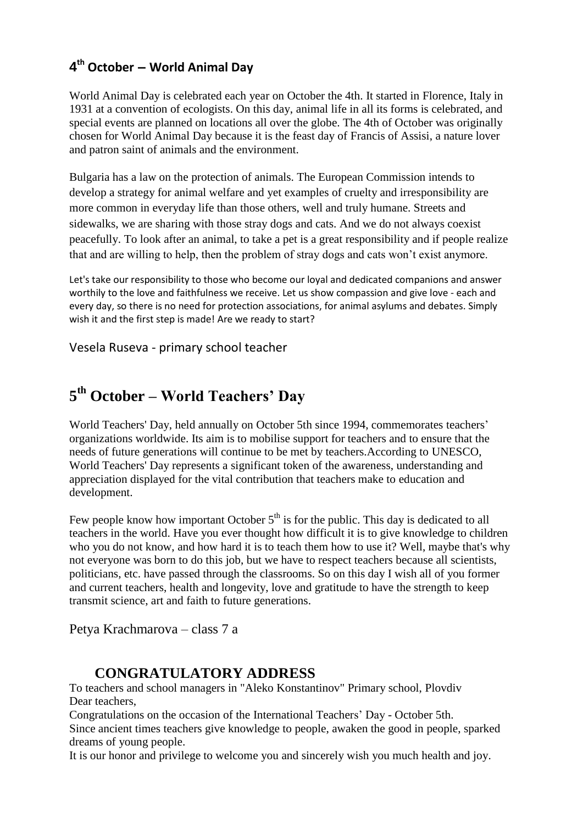## **4 th October – World Animal Day**

World Animal Day is celebrated each year on October the 4th. It started in [Florence,](http://en.wikipedia.org/wiki/Florence) [Italy](http://en.wikipedia.org/wiki/Italy) in 1931 at a convention of ecologists. On this day, [animal](http://en.wikipedia.org/wiki/Animal) life in all its forms is celebrated, and special events are planned on locations all over the globe. The 4th of October was originally chosen for World Animal Day because it is the feast day of [Francis of Assisi,](http://en.wikipedia.org/wiki/Francis_of_Assisi) a nature lover and [patron saint](http://en.wikipedia.org/wiki/Patron_saint) of animals and [the environment.](http://en.wikipedia.org/wiki/Environment_%28biophysical%29)

Bulgaria has a law on the protection of animals. The European Commission intends to develop a strategy for animal welfare and yet examples of cruelty and irresponsibility are more common in everyday life than those others, well and truly humane. Streets and sidewalks, we are sharing with those stray dogs and cats. And we do not always coexist peacefully. To look after an animal, to take a pet is a great responsibility and if people realize that and are willing to help, then the problem of stray dogs and cats won't exist anymore.

Let's take our responsibility to those who become our loyal and dedicated companions and answer worthily to the love and faithfulness we receive. Let us show compassion and give love - each and every day, so there is no need for protection associations, for animal asylums and debates. Simply wish it and the first step is made! Are we ready to start?

Vesela Ruseva - primary school teacher

## **5 th October – World Teachers' Day**

World Teachers' Day, held annually on October 5th since 1994, commemorates [teachers'](http://en.wikipedia.org/wiki/Teacher) organizations worldwide. Its aim is to mobilise support for teachers and to ensure that the needs of future generations will continue to be met by teachers.According to [UNESCO,](http://en.wikipedia.org/wiki/UNESCO) World Teachers' Day represents a significant token of the awareness, understanding and appreciation displayed for the vital contribution that teachers make to [education](http://en.wikipedia.org/wiki/Education) and development.

Few people know how important October  $5<sup>th</sup>$  is for the public. This day is dedicated to all teachers in the world. Have you ever thought how difficult it is to give knowledge to children who you do not know, and how hard it is to teach them how to use it? Well, maybe that's why not everyone was born to do this job, but we have to respect teachers because all scientists, politicians, etc. have passed through the classrooms. So on this day I wish all of you former and current teachers, health and longevity, love and gratitude to have the strength to keep transmit science, art and faith to future generations.

Petya Krachmarova – class 7 a

### **14CCONGRATULATORY ADDRESS**

To teachers and school managers in "Aleko Konstantinov" Primary school, Plovdiv Dear teachers,

Congratulations on the occasion of the International Teachers' Day - October 5th. Since ancient times teachers give knowledge to people, awaken the good in people, sparked dreams of young people.

It is our honor and privilege to welcome you and sincerely wish you much health and joy.